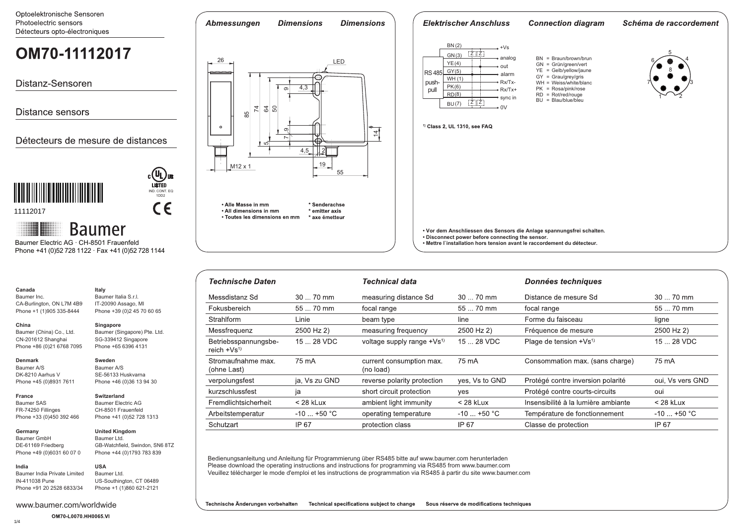Optoelektronische Sensoren Photoelectric sensors Détecteurs opto-électroniques

# OM70-11112017

Distanz-Sensoren

Distance sensors

Détecteurs de mesure de distances



11112017

## **Baumer**

 Phone +41 (0)52 728 1122 · Fax +41 (0)52 728 1144 Baumer Electric AG · CH-8501 Frauenfeld

**Italy**

Baumer Italia S.r.l. IT-20090 Assago, MI Phone +39 (0)2 45 70 60 65

Baumer (Singapore) Pte. Ltd. SG-339412 Singapore Phone +65 6396 4131

IND. CONT. EQ 1DD2

 $C \in$ 

**Singapore**

**Sweden** Baumer A/S SE-56133 Huskvarna Phone +46 (0)36 13 94 30

### **Canada**

Baumer Inc. CA-Burlington, ON L7M 4B9 Phone +1 (1)905 335-8444

## **China**

Baumer (China) Co., Ltd. CN-201612 Shanghai Phone +86 (0)21 6768 7095

#### **Denmark**

**France**

Baumer A/S DK-8210 Aarhus V Phone +45 (0)8931 7611

#### **Switzerland** Baumer Electric AG

Baumer SAS FR-74250 Fillinges Phone +33 (0)450 392 466 CH-8501 Frauenfeld Phone +41 (0)52 728 1313

#### **Germany**  Baumer GmbH DE-61169 Friedberg

Phone +49 (0)6031 60 07 0

#### **United Kingdom** Baumer Ltd. GB-Watchfield, Swindon, SN6 8TZ Phone +44 (0)1793 783 839

**USA**

#### Baumer India Private Limited IN-411038 Pune Phone +91 20 2528 6833/34 Baumer Ltd. US-Southington, CT 06489

Phone +1 (1)860 621-2121





**Dimensions** 

**Dimensions** 

Abmessungen

#### **Elektrischer Anschluss Connection diagram** Schéma de raccordement (2) BN +Vs GN(3) 5 Z Z analog BN = Braun/brown/brun 4 6 GN = Grün/green/vert (4) YE out YE = Gelb/yellow/jaune 8 **RS 485** <u>GY (5)</u> alarm GY = Grau/grey/gris WH (1) Rx/Tx- WH = Weiss/white/blanc push-7 3 <u>PK(</u>6) pull Rx/Tx+ PK = Rosa/pink/rose  $RD = Rot/red/rouqe$ <u>RD(8)</u>  $1^{\sim}$   $-2$ sync in  $BU = Blau/blue/bleu$  $\overline{z}$   $\overline{z}$ (7) BU  $0<sup>V</sup>$ <sup>1)</sup> Class 2, UL 1310, see FAQ **• Vor dem Anschliessen des Sensors die Anlage spannungsfrei schalten. • Disconnect power before connecting the sensor.**

**• Mettre l`installation hors tension avant le raccordement du détecteur.**

| <b>Technische Daten</b>                   |               | <b>Technical data</b>                  |                | <b>Données techniques</b>           |                  |
|-------------------------------------------|---------------|----------------------------------------|----------------|-------------------------------------|------------------|
| Messdistanz Sd                            | $3070$ mm     | measuring distance Sd                  | $3070$ mm      | Distance de mesure Sd               | $3070$ mm        |
| Fokusbereich                              | 55  70 mm     | focal range                            | 55  70 mm      | focal range                         | 55  70 mm        |
| Strahlform                                | Linie         | beam type                              | line           | Forme du faisceau                   | ligne            |
| Messfrequenz                              | 2500 Hz 2)    | measuring frequency                    | 2500 Hz 2)     | Fréquence de mesure                 | 2500 Hz 2)       |
| Betriebsspannungsbe-<br>reich $+Vs^{(1)}$ | 15  28 VDC    | voltage supply range +Vs <sup>1)</sup> | 15  28 VDC     | Plage de tension $+Vs^{1}$          | 15  28 VDC       |
| Stromaufnahme max.<br>(ohne Last)         | 75 mA         | current consumption max.<br>(no load)  | 75 mA          | Consommation max. (sans charge)     | 75 mA            |
| verpolungsfest                            | ja, Vs zu GND | reverse polarity protection            | yes, Vs to GND | Protégé contre inversion polarité   | oui, Vs vers GND |
| kurzschlussfest                           | ja            | short circuit protection               | yes            | Protégé contre courts-circuits      | oui              |
| Fremdlichtsicherheit                      | $<$ 28 kLux   | ambient light immunity                 | $<$ 28 kLux    | Insensibilité à la lumière ambiante | $<$ 28 kLux      |
| Arbeitstemperatur                         | $-10$ +50 °C  | operating temperature                  | $-10$ +50 °C   | Température de fonctionnement       | $-10$ +50 °C     |
| Schutzart                                 | IP 67         | protection class                       | IP 67          | Classe de protection                | IP 67            |

Bedienungsanleitung und Anleitung für Programmierung über RS485 bitte auf www.baumer.com herunterladen Please download the operating instructions and instructions for programming via RS485 from www.baumer.com Veuillez télécharger le mode d'emploi et les instructions de programmation via RS485 à partir du site www.baumer.com

Technische Änderungen vorbehalten Technical specifications subject to change Sous réserve de modifications techniques

1/4

**India**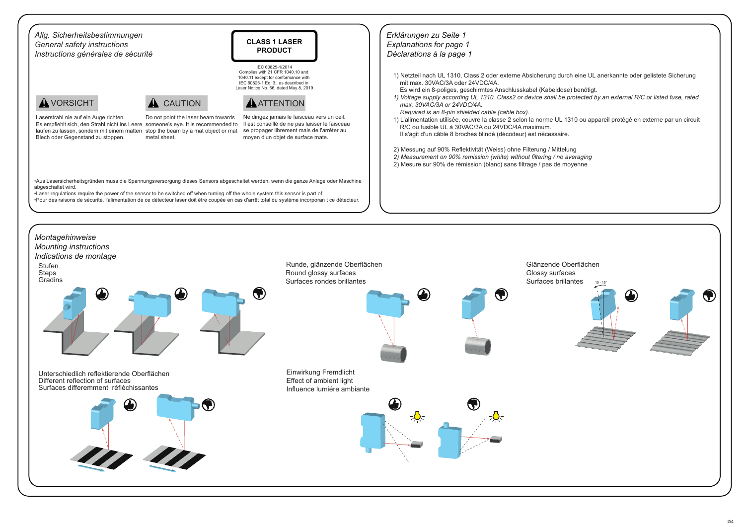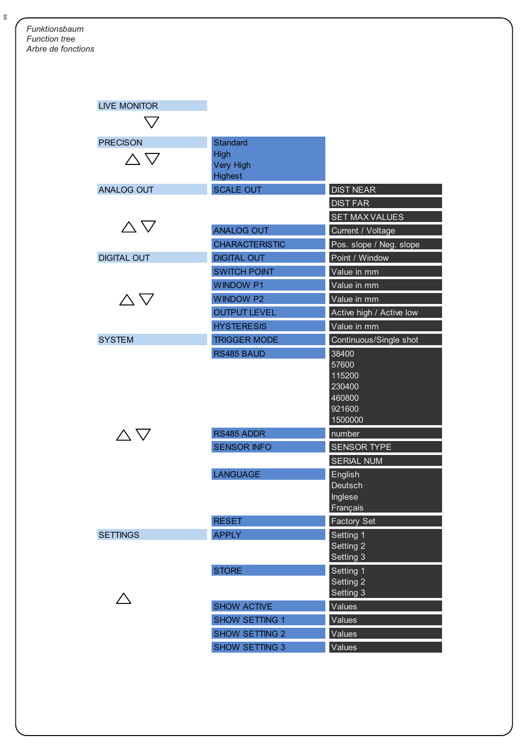| <b>LIVE MONITOR</b> |                       |                          |
|---------------------|-----------------------|--------------------------|
|                     |                       |                          |
| <b>PRECISON</b>     | Standard              |                          |
| $\wedge \nabla$     | High                  |                          |
|                     | <b>Very High</b>      |                          |
|                     | <b>Highest</b>        |                          |
| <b>ANALOG OUT</b>   | <b>SCALE OUT</b>      | <b>DIST NEAR</b>         |
|                     |                       | <b>DIST FAR</b>          |
| $\triangle \nabla$  |                       | <b>SET MAX VALUES</b>    |
|                     | <b>ANALOG OUT</b>     | Current / Voltage        |
|                     | <b>CHARACTERISTIC</b> | Pos. slope / Neg. slope  |
| <b>DIGITAL OUT</b>  | <b>DIGITAL OUT</b>    | Point / Window           |
|                     | <b>SWITCH POINT</b>   | Value in mm              |
|                     | <b>WINDOW P1</b>      | Value in mm              |
| $\wedge$ $\nabla$   | <b>WINDOW P2</b>      | Value in mm              |
|                     | <b>OUTPUT LEVEL</b>   | Active high / Active low |
|                     | <b>HYSTERESIS</b>     | Value in mm              |
| <b>SYSTEM</b>       | <b>TRIGGER MODE</b>   | Continuous/Single shot   |
|                     | RS485 BAUD            | 38400                    |
|                     |                       | 57600                    |
|                     |                       | 115200<br>230400         |
|                     |                       | 460800                   |
|                     |                       | 921600                   |
|                     |                       | 1500000                  |
| $\wedge \nabla$     | RS485 ADDR            | number                   |
|                     | <b>SENSOR INFO</b>    | <b>SENSOR TYPE</b>       |
|                     |                       | <b>SERIAL NUM</b>        |
|                     | <b>LANGUAGE</b>       | English                  |
|                     |                       | Deutsch                  |
|                     |                       | Inglese                  |
|                     | <b>RESET</b>          | Français<br>Factory Set  |
| <b>SETTINGS</b>     | <b>APPLY</b>          | Setting 1                |
|                     |                       | Setting 2                |
|                     |                       | Setting 3                |
|                     | <b>STORE</b>          | Setting 1                |
|                     |                       | Setting 2                |
|                     |                       | Setting 3                |
|                     | <b>SHOW ACTIVE</b>    | Values                   |
|                     | <b>SHOW SETTING 1</b> | Values                   |
|                     | <b>SHOW SETTING 2</b> | Values                   |
|                     | <b>SHOW SETTING 3</b> | Values                   |

3/4